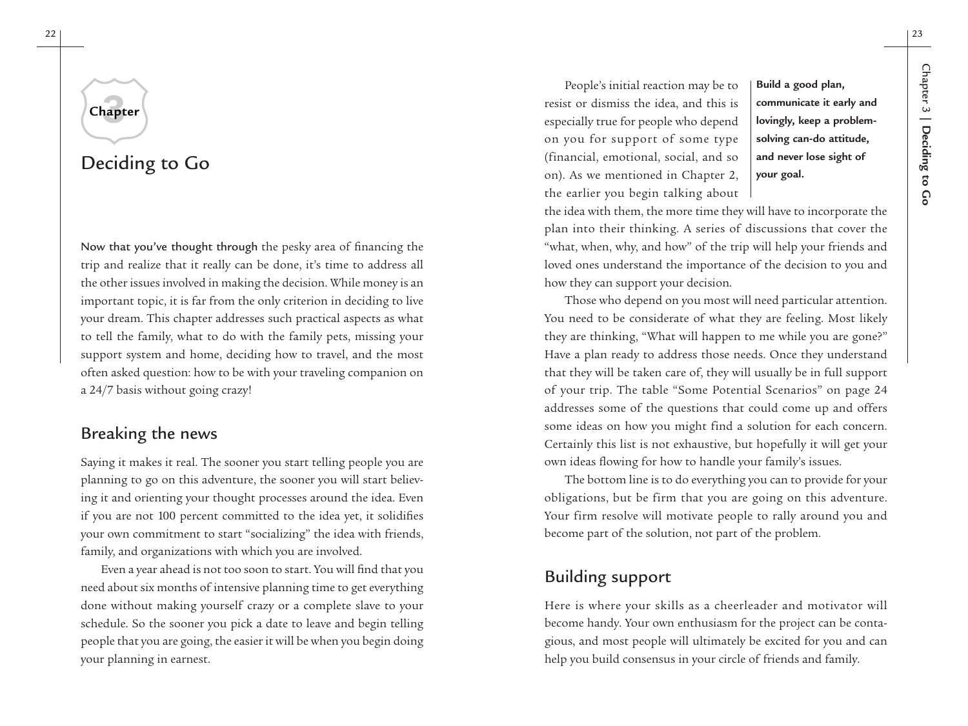# **Chapter**

# Deciding to Go

Now that you've thought through the pesky area of financing the trip and realize that it really can be done, it's time to address all the other issues involved in making the decision. While money is an important topic, it is far from the only criterion in deciding to live your dream. This chapter addresses such practical aspects as what to tell the family, what to do with the family pets, missing your support system and home, deciding how to travel, and the most often asked question: how to be with your traveling companion on a 24/7 basis without going crazy!

# Breaking the news

Saying it makes it real. The sooner you start telling people you are planning to go on this adventure, the sooner you will start believing it and orienting your thought processes around the idea. Even if you are not 100 percent committed to the idea yet, it solidifies your own commitment to start "socializing" the idea with friends, family, and organizations with which you are involved.

Even a year ahead is not too soon to start. You will find that you need about six months of intensive planning time to get everything done without making yourself crazy or a complete slave to your schedule. So the sooner you pick a date to leave and begin telling people that you are going, the easier it will be when you begin doing your planning in earnest.

People's initial reaction may be to resist or dismiss the idea, and this is especially true for people who depend on you for support of some type (financial, emotional, social, and so on). As we mentioned in Chapter 2, the earlier you begin talking about

**Build a good plan, communicate it early and lovingly, keep a problemsolving can-do attitude, and never lose sight of your goal.** 

the idea with them, the more time they will have to incorporate the plan into their thinking. A series of discussions that cover the "what, when, why, and how" of the trip will help your friends and loved ones understand the importance of the decision to you and how they can support your decision.

Those who depend on you most will need particular attention. You need to be considerate of what they are feeling. Most likely they are thinking, "What will happen to me while you are gone?" Have a plan ready to address those needs. Once they understand that they will be taken care of, they will usually be in full support of your trip. The table "Some Potential Scenarios" on page 24 addresses some of the questions that could come up and offers some ideas on how you might find a solution for each concern. Certainly this list is not exhaustive, but hopefully it will get your own ideas flowing for how to handle your family's issues.

The bottom line is to do everything you can to provide for your obligations, but be firm that you are going on this adventure. Your firm resolve will motivate people to rally around you and become part of the solution, not part of the problem.

## Building support

Here is where your skills as a cheerleader and motivator will become handy. Your own enthusiasm for the project can be contagious, and most people will ultimately be excited for you and can help you build consensus in your circle of friends and family.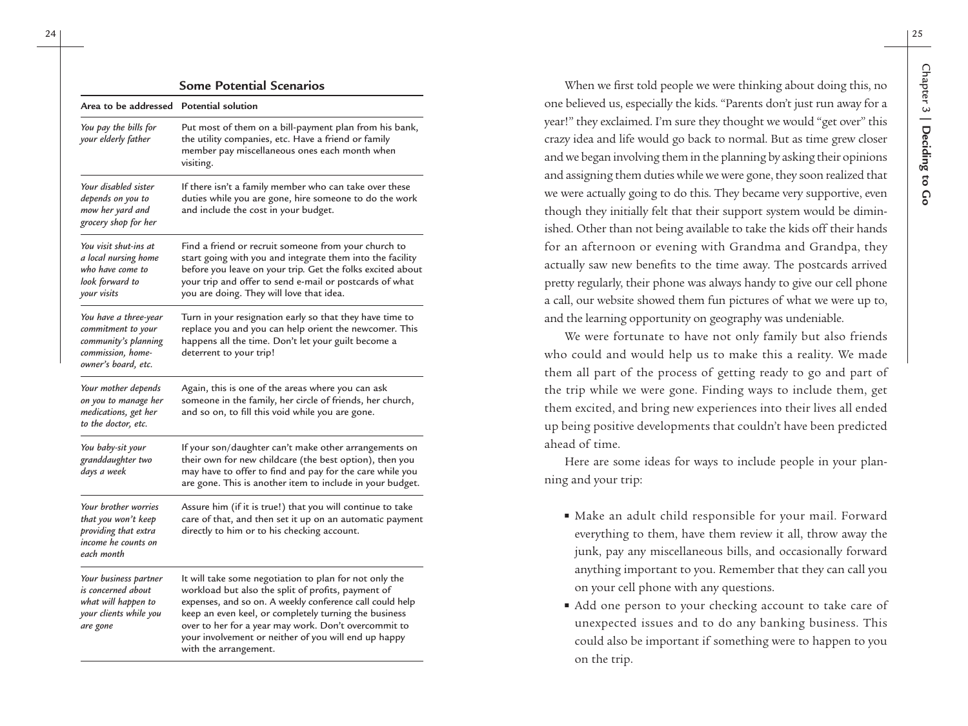#### **Some Potential Scenarios**

**Area to be addressed Potential solution**

| You pay the bills for<br>your elderly father                                                                    | Put most of them on a bill-payment plan from his bank,<br>the utility companies, etc. Have a friend or family<br>member pay miscellaneous ones each month when<br>visiting.                                                                                                                                                                                                |
|-----------------------------------------------------------------------------------------------------------------|----------------------------------------------------------------------------------------------------------------------------------------------------------------------------------------------------------------------------------------------------------------------------------------------------------------------------------------------------------------------------|
| Your disabled sister<br>depends on you to<br>mow her yard and<br>grocery shop for her                           | If there isn't a family member who can take over these<br>duties while you are gone, hire someone to do the work<br>and include the cost in your budget.                                                                                                                                                                                                                   |
| You visit shut-ins at<br>a local nursing home<br>who have come to<br>look forward to<br>your visits             | Find a friend or recruit someone from your church to<br>start going with you and integrate them into the facility<br>before you leave on your trip. Get the folks excited about<br>your trip and offer to send e-mail or postcards of what<br>you are doing. They will love that idea.                                                                                     |
| You have a three-year<br>commitment to your<br>community's planning<br>commission, home-<br>owner's board, etc. | Turn in your resignation early so that they have time to<br>replace you and you can help orient the newcomer. This<br>happens all the time. Don't let your guilt become a<br>deterrent to your trip!                                                                                                                                                                       |
| Your mother depends<br>on you to manage her<br>medications, get her<br>to the doctor, etc.                      | Again, this is one of the areas where you can ask<br>someone in the family, her circle of friends, her church,<br>and so on, to fill this void while you are gone.                                                                                                                                                                                                         |
| You baby-sit your<br>granddaughter two<br>days a week                                                           | If your son/daughter can't make other arrangements on<br>their own for new childcare (the best option), then you<br>may have to offer to find and pay for the care while you<br>are gone. This is another item to include in your budget.                                                                                                                                  |
| Your brother worries<br>that you won't keep<br>providing that extra<br>income he counts on<br>each month        | Assure him (if it is true!) that you will continue to take<br>care of that, and then set it up on an automatic payment<br>directly to him or to his checking account.                                                                                                                                                                                                      |
| Your business partner<br>is concerned about<br>what will happen to<br>your clients while you<br>are gone        | It will take some negotiation to plan for not only the<br>workload but also the split of profits, payment of<br>expenses, and so on. A weekly conference call could help<br>keep an even keel, or completely turning the business<br>over to her for a year may work. Don't overcommit to<br>your involvement or neither of you will end up happy<br>with the arrangement. |

When we first told people we were thinking about doing this, no one believed us, especially the kids. "Parents don't just run away for a year!" they exclaimed. I'm sure they thought we would "get over" this crazy idea and life would go back to normal. But as time grew closer and we began involving them in the planning by asking their opinions and assigning them duties while we were gone, they soon realized that we were actually going to do this. They became very supportive, even though they initially felt that their support system would be diminished. Other than not being available to take the kids off their hands for an afternoon or evening with Grandma and Grandpa, they actually saw new benefits to the time away. The postcards arrived pretty regularly, their phone was always handy to give our cell phone a call, our website showed them fun pictures of what we were up to, and the learning opportunity on geography was undeniable.

We were fortunate to have not only family but also friends who could and would help us to make this a reality. We made them all part of the process of getting ready to go and part of the trip while we were gone. Finding ways to include them, get them excited, and bring new experiences into their lives all ended up being positive developments that couldn't have been predicted ahead of time.

Here are some ideas for ways to include people in your planning and your trip:

- Make an adult child responsible for your mail. Forward everything to them, have them review it all, throw away the junk, pay any miscellaneous bills, and occasionally forward anything important to you. Remember that they can call you on your cell phone with any questions.
- Add one person to your checking account to take care of unexpected issues and to do any banking business. This could also be important if something were to happen to you on the trip.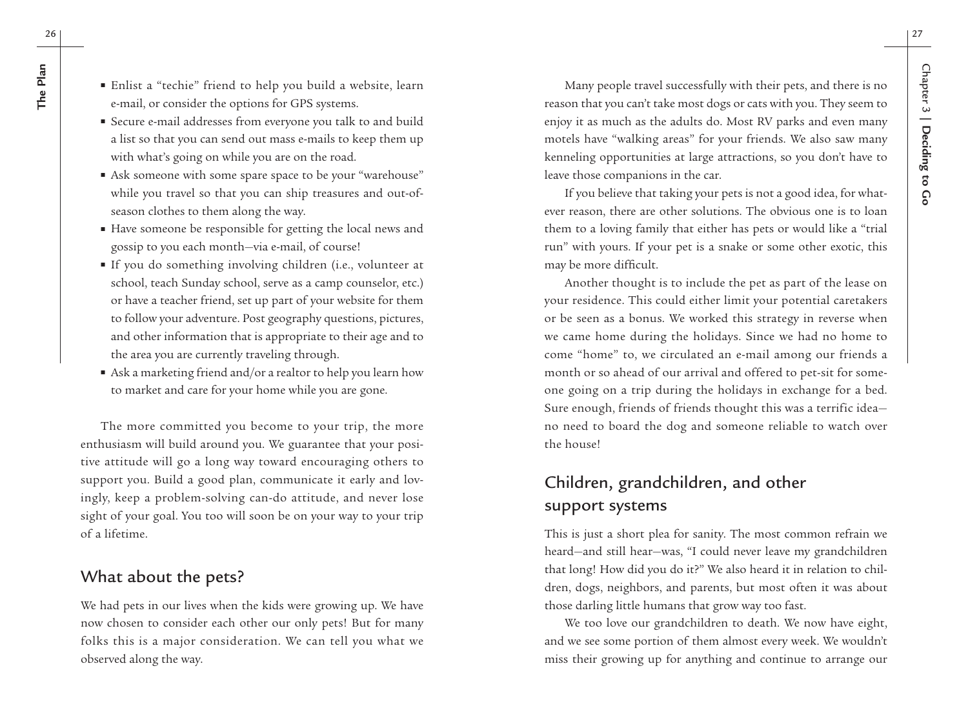- Enlist a "techie" friend to help you build a website, learn e-mail, or consider the options for GPS systems.
- Secure e-mail addresses from everyone you talk to and build a list so that you can send out mass e-mails to keep them up with what's going on while you are on the road.
- Ask someone with some spare space to be your "warehouse" while you travel so that you can ship treasures and out-ofseason clothes to them along the way.
- Have someone be responsible for getting the local news and gossip to you each month—via e-mail, of course!
- If you do something involving children (i.e., volunteer at school, teach Sunday school, serve as a camp counselor, etc.) or have a teacher friend, set up part of your website for them to follow your adventure. Post geography questions, pictures, and other information that is appropriate to their age and to the area you are currently traveling through.
- Ask a marketing friend and/or a realtor to help you learn how to market and care for your home while you are gone.

The more committed you become to your trip, the more enthusiasm will build around you. We guarantee that your positive attitude will go a long way toward encouraging others to support you. Build a good plan, communicate it early and lovingly, keep a problem-solving can-do attitude, and never lose sight of your goal. You too will soon be on your way to your trip of a lifetime.

## What about the pets?

We had pets in our lives when the kids were growing up. We have now chosen to consider each other our only pets! But for many folks this is a major consideration. We can tell you what we observed along the way.

Many people travel successfully with their pets, and there is no reason that you can't take most dogs or cats with you. They seem to enjoy it as much as the adults do. Most RV parks and even many motels have "walking areas" for your friends. We also saw many kenneling opportunities at large attractions, so you don't have to leave those companions in the car.

If you believe that taking your pets is not a good idea, for whatever reason, there are other solutions. The obvious one is to loan them to a loving family that either has pets or would like a "trial run" with yours. If your pet is a snake or some other exotic, this may be more difficult.

Another thought is to include the pet as part of the lease on your residence. This could either limit your potential caretakers or be seen as a bonus. We worked this strategy in reverse when we came home during the holidays. Since we had no home to come "home" to, we circulated an e-mail among our friends a month or so ahead of our arrival and offered to pet-sit for someone going on a trip during the holidays in exchange for a bed. Sure enough, friends of friends thought this was a terrific idea no need to board the dog and someone reliable to watch over the house!

# Children, grandchildren, and other support systems

This is just a short plea for sanity. The most common refrain we heard—and still hear—was, "I could never leave my grandchildren that long! How did you do it?" We also heard it in relation to children, dogs, neighbors, and parents, but most often it was about those darling little humans that grow way too fast.

We too love our grandchildren to death. We now have eight, and we see some portion of them almost every week. We wouldn't miss their growing up for anything and continue to arrange our

The Plan **The Plan**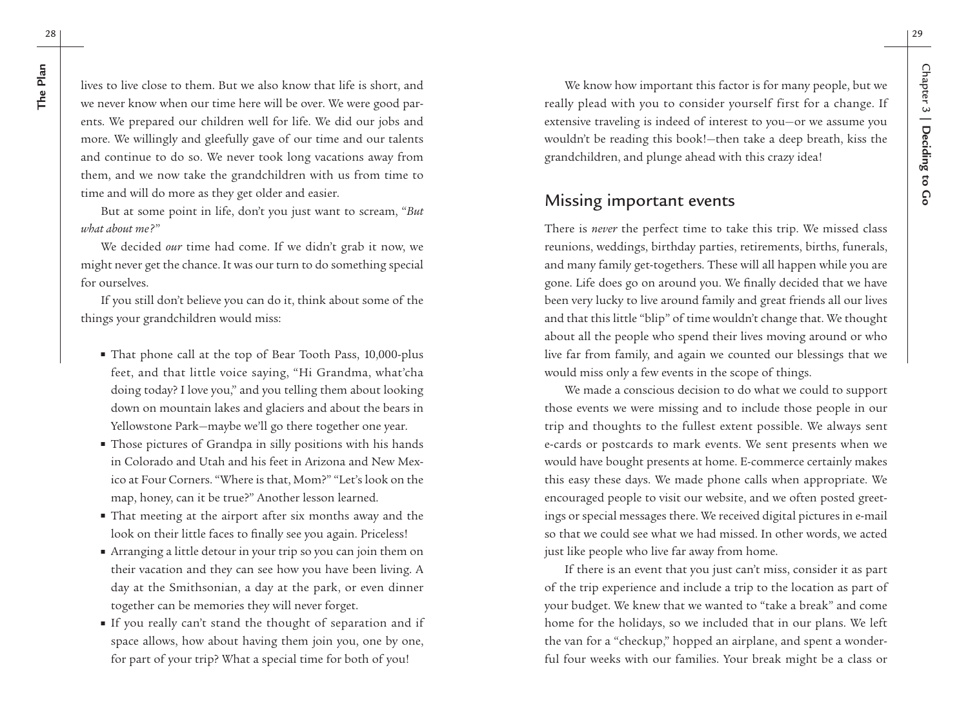lives to live close to them. But we also know that life is short, and we never know when our time here will be over. We were good parents. We prepared our children well for life. We did our jobs and more. We willingly and gleefully gave of our time and our talents and continue to do so. We never took long vacations away from them, and we now take the grandchildren with us from time to time and will do more as they get older and easier.

But at some point in life, don't you just want to scream, "*But what about me?*"

We decided *our* time had come. If we didn't grab it now, we might never get the chance. It was our turn to do something special for ourselves.

If you still don't believe you can do it, think about some of the things your grandchildren would miss:

- That phone call at the top of Bear Tooth Pass, 10,000-plus feet, and that little voice saying, "Hi Grandma, what'cha doing today? I love you," and you telling them about looking down on mountain lakes and glaciers and about the bears in Yellowstone Park—maybe we'll go there together one year.
- Those pictures of Grandpa in silly positions with his hands in Colorado and Utah and his feet in Arizona and New Mexico at Four Corners. "Where is that, Mom?" "Let's look on the map, honey, can it be true?" Another lesson learned.
- That meeting at the airport after six months away and the look on their little faces to finally see you again. Priceless!
- Arranging a little detour in your trip so you can join them on their vacation and they can see how you have been living. A day at the Smithsonian, a day at the park, or even dinner together can be memories they will never forget.
- If you really can't stand the thought of separation and if space allows, how about having them join you, one by one, for part of your trip? What a special time for both of you!

We know how important this factor is for many people, but we really plead with you to consider yourself first for a change. If extensive traveling is indeed of interest to you—or we assume you wouldn't be reading this book!—then take a deep breath, kiss the grandchildren, and plunge ahead with this crazy idea!

## Missing important events

There is *never* the perfect time to take this trip. We missed class reunions, weddings, birthday parties, retirements, births, funerals, and many family get-togethers. These will all happen while you are gone. Life does go on around you. We finally decided that we have been very lucky to live around family and great friends all our lives and that this little "blip" of time wouldn't change that. We thought about all the people who spend their lives moving around or who live far from family, and again we counted our blessings that we would miss only a few events in the scope of things.

We made a conscious decision to do what we could to support those events we were missing and to include those people in our trip and thoughts to the fullest extent possible. We always sent e-cards or postcards to mark events. We sent presents when we would have bought presents at home. E-commerce certainly makes this easy these days. We made phone calls when appropriate. We encouraged people to visit our website, and we often posted greetings or special messages there. We received digital pictures in e-mail so that we could see what we had missed. In other words, we acted just like people who live far away from home.

If there is an event that you just can't miss, consider it as part of the trip experience and include a trip to the location as part of your budget. We knew that we wanted to "take a break" and come home for the holidays, so we included that in our plans. We left the van for a "checkup," hopped an airplane, and spent a wonderful four weeks with our families. Your break might be a class or

The Plan **The Plan**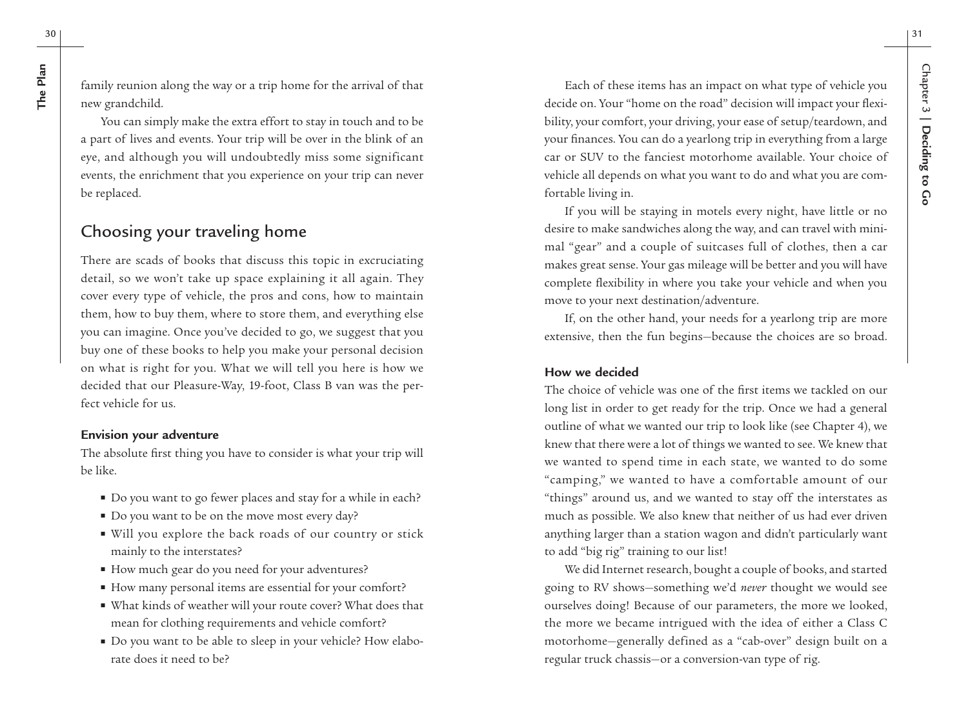The Plan

family reunion along the way or a trip home for the arrival of that new grandchild.

You can simply make the extra effort to stay in touch and to be a part of lives and events. Your trip will be over in the blink of an eye, and although you will undoubtedly miss some significant events, the enrichment that you experience on your trip can never be replaced.

## Choosing your traveling home

There are scads of books that discuss this topic in excruciating detail, so we won't take up space explaining it all again. They cover every type of vehicle, the pros and cons, how to maintain them, how to buy them, where to store them, and everything else you can imagine. Once you've decided to go, we suggest that you buy one of these books to help you make your personal decision on what is right for you. What we will tell you here is how we decided that our Pleasure-Way, 19-foot, Class B van was the perfect vehicle for us.

### **Envision your adventure**

The absolute first thing you have to consider is what your trip will be like.

- Do you want to go fewer places and stay for a while in each?
- Do you want to be on the move most every day?
- Will you explore the back roads of our country or stick mainly to the interstates?
- How much gear do you need for your adventures?
- How many personal items are essential for your comfort?
- What kinds of weather will your route cover? What does that mean for clothing requirements and vehicle comfort?
- Do you want to be able to sleep in your vehicle? How elaborate does it need to be?

Each of these items has an impact on what type of vehicle you decide on. Your "home on the road" decision will impact your flexibility, your comfort, your driving, your ease of setup/teardown, and your finances. You can do a yearlong trip in everything from a large car or SUV to the fanciest motorhome available. Your choice of vehicle all depends on what you want to do and what you are comfortable living in.

If you will be staying in motels every night, have little or no desire to make sandwiches along the way, and can travel with minimal "gear" and a couple of suitcases full of clothes, then a car makes great sense. Your gas mileage will be better and you will have complete flexibility in where you take your vehicle and when you move to your next destination/adventure.

If, on the other hand, your needs for a yearlong trip are more extensive, then the fun begins—because the choices are so broad.

#### **How we decided**

The choice of vehicle was one of the first items we tackled on our long list in order to get ready for the trip. Once we had a general outline of what we wanted our trip to look like (see Chapter 4), we knew that there were a lot of things we wanted to see. We knew that we wanted to spend time in each state, we wanted to do some "camping," we wanted to have a comfortable amount of our "things" around us, and we wanted to stay off the interstates as much as possible. We also knew that neither of us had ever driven anything larger than a station wagon and didn't particularly want to add "big rig" training to our list!

We did Internet research, bought a couple of books, and started going to RV shows—something we'd *never* thought we would see ourselves doing! Because of our parameters, the more we looked, the more we became intrigued with the idea of either a Class C motorhome—generally defined as a "cab-over" design built on a regular truck chassis—or a conversion-van type of rig.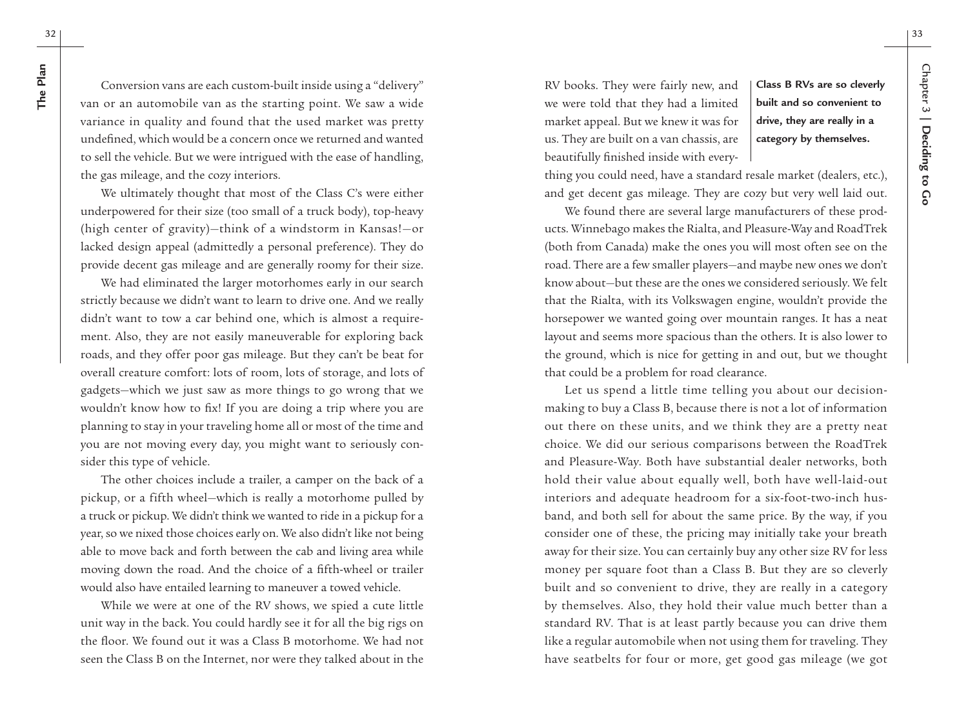Conversion vans are each custom-built inside using a "delivery" van or an automobile van as the starting point. We saw a wide variance in quality and found that the used market was pretty undefined, which would be a concern once we returned and wanted to sell the vehicle. But we were intrigued with the ease of handling, the gas mileage, and the cozy interiors.

We ultimately thought that most of the Class C's were either underpowered for their size (too small of a truck body), top-heavy (high center of gravity)—think of a windstorm in Kansas!—or lacked design appeal (admittedly a personal preference). They do provide decent gas mileage and are generally roomy for their size.

We had eliminated the larger motorhomes early in our search strictly because we didn't want to learn to drive one. And we really didn't want to tow a car behind one, which is almost a requirement. Also, they are not easily maneuverable for exploring back roads, and they offer poor gas mileage. But they can't be beat for overall creature comfort: lots of room, lots of storage, and lots of gadgets—which we just saw as more things to go wrong that we wouldn't know how to fix! If you are doing a trip where you are planning to stay in your traveling home all or most of the time and you are not moving every day, you might want to seriously consider this type of vehicle.

The other choices include a trailer, a camper on the back of a pickup, or a fifth wheel—which is really a motorhome pulled by a truck or pickup. We didn't think we wanted to ride in a pickup for a year, so we nixed those choices early on. We also didn't like not being able to move back and forth between the cab and living area while moving down the road. And the choice of a fifth-wheel or trailer would also have entailed learning to maneuver a towed vehicle.

While we were at one of the RV shows, we spied a cute little unit way in the back. You could hardly see it for all the big rigs on the floor. We found out it was a Class B motorhome. We had not seen the Class B on the Internet, nor were they talked about in the RV books. They were fairly new, and we were told that they had a limited market appeal. But we knew it was for us. They are built on a van chassis, are beautifully finished inside with every**Class B RVs are so cleverly built and so convenient to drive, they are really in a category by themselves.** 

thing you could need, have a standard resale market (dealers, etc.), and get decent gas mileage. They are cozy but very well laid out.

We found there are several large manufacturers of these products. Winnebago makes the Rialta, and Pleasure-Way and RoadTrek (both from Canada) make the ones you will most often see on the road. There are a few smaller players—and maybe new ones we don't know about—but these are the ones we considered seriously. We felt that the Rialta, with its Volkswagen engine, wouldn't provide the horsepower we wanted going over mountain ranges. It has a neat layout and seems more spacious than the others. It is also lower to the ground, which is nice for getting in and out, but we thought that could be a problem for road clearance.

Let us spend a little time telling you about our decisionmaking to buy a Class B, because there is not a lot of information out there on these units, and we think they are a pretty neat choice. We did our serious comparisons between the RoadTrek and Pleasure-Way. Both have substantial dealer networks, both hold their value about equally well, both have well-laid-out interiors and adequate headroom for a six-foot-two-inch husband, and both sell for about the same price. By the way, if you consider one of these, the pricing may initially take your breath away for their size. You can certainly buy any other size RV for less money per square foot than a Class B. But they are so cleverly built and so convenient to drive, they are really in a category by themselves. Also, they hold their value much better than a standard RV. That is at least partly because you can drive them like a regular automobile when not using them for traveling. They have seatbelts for four or more, get good gas mileage (we got

**The Plan**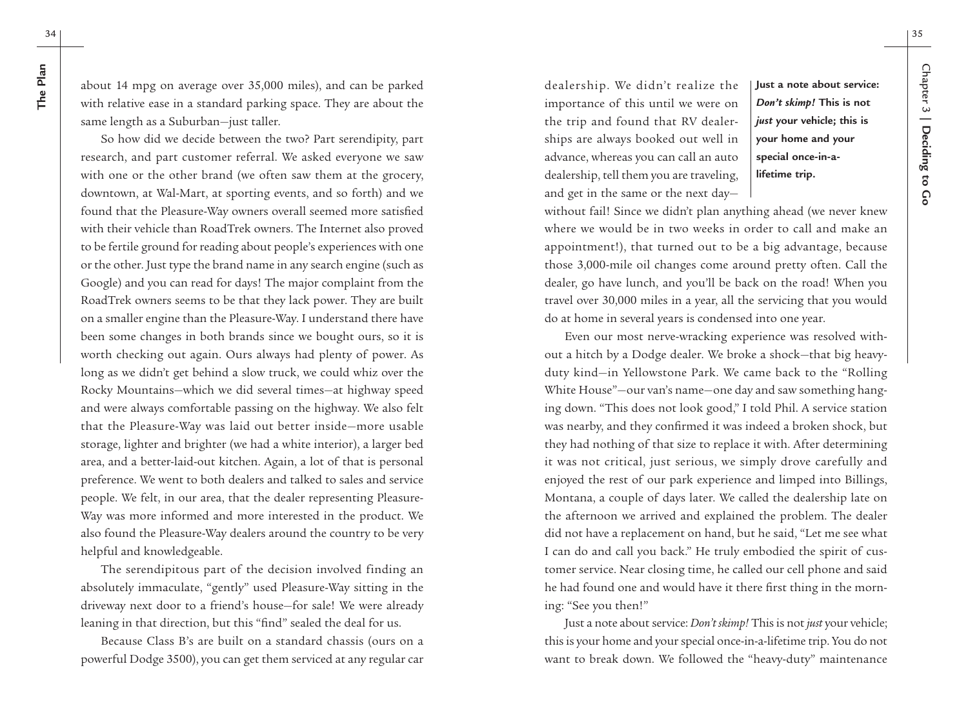about 14 mpg on average over 35,000 miles), and can be parked with relative ease in a standard parking space. They are about the same length as a Suburban—just taller.

So how did we decide between the two? Part serendipity, part research, and part customer referral. We asked everyone we saw with one or the other brand (we often saw them at the grocery, downtown, at Wal-Mart, at sporting events, and so forth) and we found that the Pleasure-Way owners overall seemed more satisfied with their vehicle than RoadTrek owners. The Internet also proved to be fertile ground for reading about people's experiences with one or the other. Just type the brand name in any search engine (such as Google) and you can read for days! The major complaint from the RoadTrek owners seems to be that they lack power. They are built on a smaller engine than the Pleasure-Way. I understand there have been some changes in both brands since we bought ours, so it is worth checking out again. Ours always had plenty of power. As long as we didn't get behind a slow truck, we could whiz over the Rocky Mountains—which we did several times—at highway speed and were always comfortable passing on the highway. We also felt that the Pleasure-Way was laid out better inside—more usable storage, lighter and brighter (we had a white interior), a larger bed area, and a better-laid-out kitchen. Again, a lot of that is personal preference. We went to both dealers and talked to sales and service people. We felt, in our area, that the dealer representing Pleasure-Way was more informed and more interested in the product. We also found the Pleasure-Way dealers around the country to be very helpful and knowledgeable.

The serendipitous part of the decision involved finding an absolutely immaculate, "gently" used Pleasure-Way sitting in the driveway next door to a friend's house—for sale! We were already leaning in that direction, but this "find" sealed the deal for us.

Because Class B's are built on a standard chassis (ours on a powerful Dodge 3500), you can get them serviced at any regular car

dealership. We didn't realize the importance of this until we were on the trip and found that RV dealerships are always booked out well in advance, whereas you can call an auto dealership, tell them you are traveling, and get in the same or the next day**Just a note about service:** *Don't skimp!* **This is not** *just* **your vehicle; this is your home and your special once-in-alifetime trip.**

without fail! Since we didn't plan anything ahead (we never knew where we would be in two weeks in order to call and make an appointment!), that turned out to be a big advantage, because those 3,000-mile oil changes come around pretty often. Call the dealer, go have lunch, and you'll be back on the road! When you travel over 30,000 miles in a year, all the servicing that you would do at home in several years is condensed into one year.

Even our most nerve-wracking experience was resolved without a hitch by a Dodge dealer. We broke a shock—that big heavyduty kind—in Yellowstone Park. We came back to the "Rolling White House"—our van's name—one day and saw something hanging down. "This does not look good," I told Phil. A service station was nearby, and they confirmed it was indeed a broken shock, but they had nothing of that size to replace it with. After determining it was not critical, just serious, we simply drove carefully and enjoyed the rest of our park experience and limped into Billings, Montana, a couple of days later. We called the dealership late on the afternoon we arrived and explained the problem. The dealer did not have a replacement on hand, but he said, "Let me see what I can do and call you back." He truly embodied the spirit of customer service. Near closing time, he called our cell phone and said he had found one and would have it there first thing in the morning: "See you then!"

Just a note about service: *Don't skimp!* This is not *just* your vehicle; this is your home and your special once-in-a-lifetime trip. You do not want to break down. We followed the "heavy-duty" maintenance

**The Plan**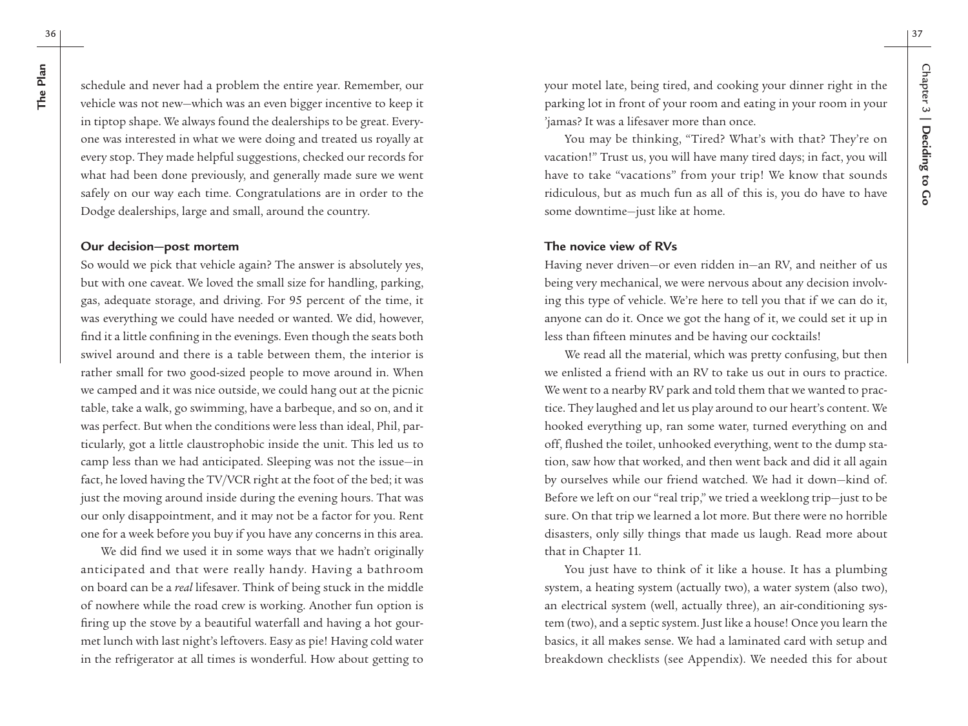schedule and never had a problem the entire year. Remember, our vehicle was not new—which was an even bigger incentive to keep it in tiptop shape. We always found the dealerships to be great. Everyone was interested in what we were doing and treated us royally at every stop. They made helpful suggestions, checked our records for what had been done previously, and generally made sure we went safely on our way each time. Congratulations are in order to the Dodge dealerships, large and small, around the country.

## **Our decision—post mortem**

So would we pick that vehicle again? The answer is absolutely yes, but with one caveat. We loved the small size for handling, parking, gas, adequate storage, and driving. For 95 percent of the time, it was everything we could have needed or wanted. We did, however, find it a little confining in the evenings. Even though the seats both swivel around and there is a table between them, the interior is rather small for two good-sized people to move around in. When we camped and it was nice outside, we could hang out at the picnic table, take a walk, go swimming, have a barbeque, and so on, and it was perfect. But when the conditions were less than ideal, Phil, particularly, got a little claustrophobic inside the unit. This led us to camp less than we had anticipated. Sleeping was not the issue—in fact, he loved having the TV/VCR right at the foot of the bed; it was just the moving around inside during the evening hours. That was our only disappointment, and it may not be a factor for you. Rent one for a week before you buy if you have any concerns in this area.

We did find we used it in some ways that we hadn't originally anticipated and that were really handy. Having a bathroom on board can be a *real* lifesaver. Think of being stuck in the middle of nowhere while the road crew is working. Another fun option is firing up the stove by a beautiful waterfall and having a hot gourmet lunch with last night's leftovers. Easy as pie! Having cold water in the refrigerator at all times is wonderful. How about getting to

your motel late, being tired, and cooking your dinner right in the parking lot in front of your room and eating in your room in your 'jamas? It was a lifesaver more than once.

You may be thinking, "Tired? What's with that? They're on vacation!" Trust us, you will have many tired days; in fact, you will have to take "vacations" from your trip! We know that sounds ridiculous, but as much fun as all of this is, you do have to have some downtime—just like at home.

#### **The novice view of RVs**

Having never driven—or even ridden in—an RV, and neither of us being very mechanical, we were nervous about any decision involving this type of vehicle. We're here to tell you that if we can do it, anyone can do it. Once we got the hang of it, we could set it up in less than fifteen minutes and be having our cocktails!

We read all the material, which was pretty confusing, but then we enlisted a friend with an RV to take us out in ours to practice. We went to a nearby RV park and told them that we wanted to practice. They laughed and let us play around to our heart's content. We hooked everything up, ran some water, turned everything on and off, flushed the toilet, unhooked everything, went to the dump station, saw how that worked, and then went back and did it all again by ourselves while our friend watched. We had it down—kind of. Before we left on our "real trip," we tried a weeklong trip—just to be sure. On that trip we learned a lot more. But there were no horrible disasters, only silly things that made us laugh. Read more about that in Chapter 11.

You just have to think of it like a house. It has a plumbing system, a heating system (actually two), a water system (also two), an electrical system (well, actually three), an air-conditioning system (two), and a septic system. Just like a house! Once you learn the basics, it all makes sense. We had a laminated card with setup and breakdown checklists (see Appendix). We needed this for about

The Plan **The Plan**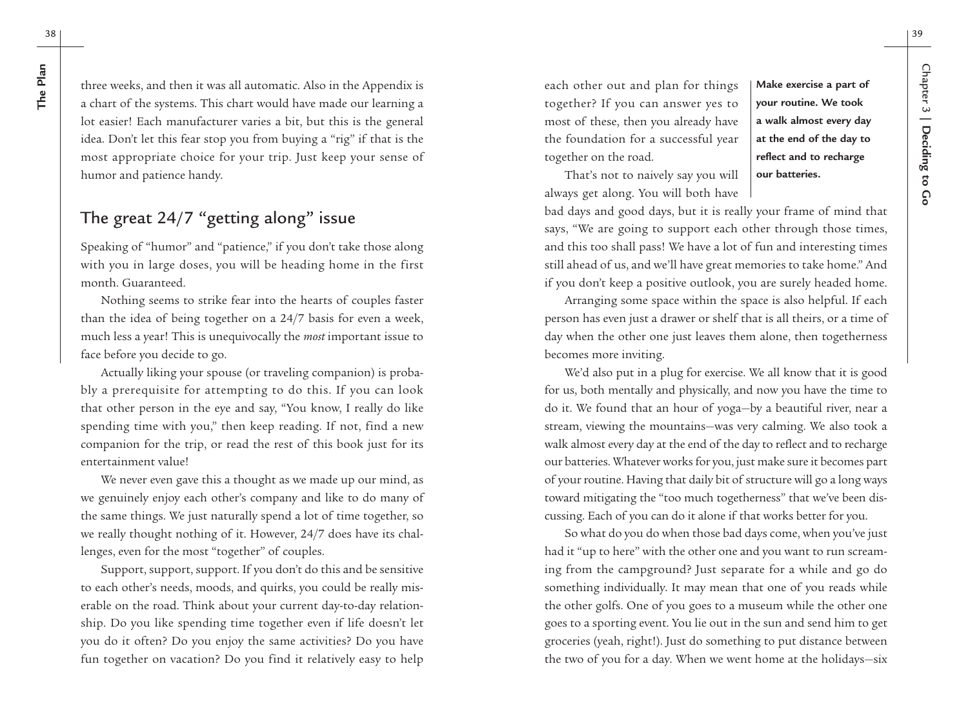three weeks, and then it was all automatic. Also in the Appendix is a chart of the systems. This chart would have made our learning a lot easier! Each manufacturer varies a bit, but this is the general idea. Don't let this fear stop you from buying a "rig" if that is the most appropriate choice for your trip. Just keep your sense of humor and patience handy.

# The great 24/7 "getting along" issue

Speaking of "humor" and "patience," if you don't take those along with you in large doses, you will be heading home in the first month. Guaranteed.

Nothing seems to strike fear into the hearts of couples faster than the idea of being together on a 24/7 basis for even a week, much less a year! This is unequivocally the *most* important issue to face before you decide to go.

Actually liking your spouse (or traveling companion) is probably a prerequisite for attempting to do this. If you can look that other person in the eye and say, "You know, I really do like spending time with you," then keep reading. If not, find a new companion for the trip, or read the rest of this book just for its entertainment value!

We never even gave this a thought as we made up our mind, as we genuinely enjoy each other's company and like to do many of the same things. We just naturally spend a lot of time together, so we really thought nothing of it. However, 24/7 does have its challenges, even for the most "together" of couples.

Support, support, support. If you don't do this and be sensitive to each other's needs, moods, and quirks, you could be really miserable on the road. Think about your current day-to-day relationship. Do you like spending time together even if life doesn't let you do it often? Do you enjoy the same activities? Do you have fun together on vacation? Do you find it relatively easy to help

each other out and plan for things together? If you can answer yes to most of these, then you already have the foundation for a successful year together on the road.

That's not to naively say you will always get along. You will both have **Make exercise a part of your routine. We took a walk almost every day at the end of the day to reflect and to recharge our batteries.**

bad days and good days, but it is really your frame of mind that says, "We are going to support each other through those times, and this too shall pass! We have a lot of fun and interesting times still ahead of us, and we'll have great memories to take home." And if you don't keep a positive outlook, you are surely headed home.

Arranging some space within the space is also helpful. If each person has even just a drawer or shelf that is all theirs, or a time of day when the other one just leaves them alone, then togetherness becomes more inviting.

We'd also put in a plug for exercise. We all know that it is good for us, both mentally and physically, and now you have the time to do it. We found that an hour of yoga—by a beautiful river, near a stream, viewing the mountains—was very calming. We also took a walk almost every day at the end of the day to reflect and to recharge our batteries. Whatever works for you, just make sure it becomes part of your routine. Having that daily bit of structure will go a long ways toward mitigating the "too much togetherness" that we've been discussing. Each of you can do it alone if that works better for you.

So what do you do when those bad days come, when you've just had it "up to here" with the other one and you want to run screaming from the campground? Just separate for a while and go do something individually. It may mean that one of you reads while the other golfs. One of you goes to a museum while the other one goes to a sporting event. You lie out in the sun and send him to get groceries (yeah, right!). Just do something to put distance between the two of you for a day. When we went home at the holidays—six

**The Plan**